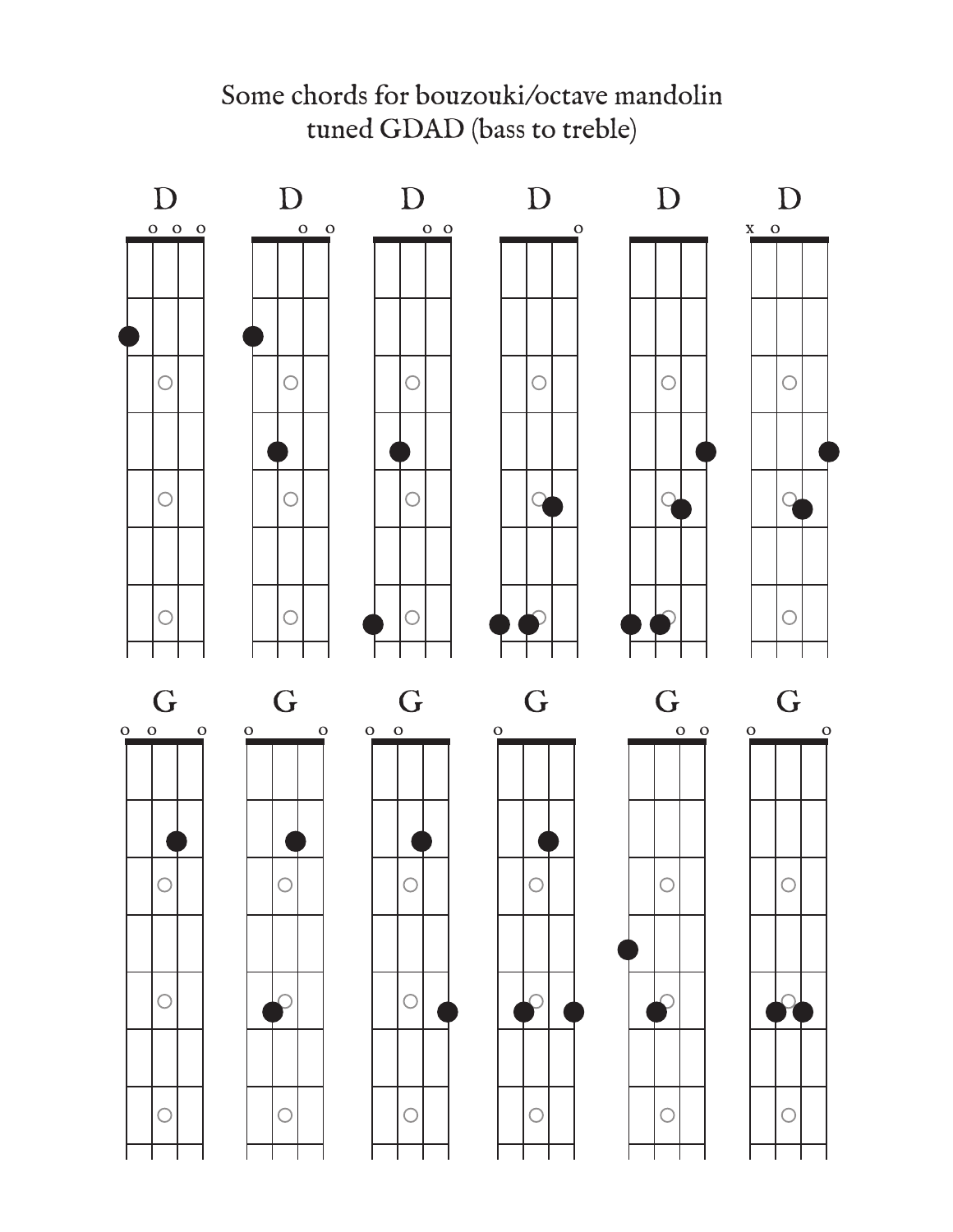

Some chords for bouzouki/octave mandolin tuned GDAD (bass to treble)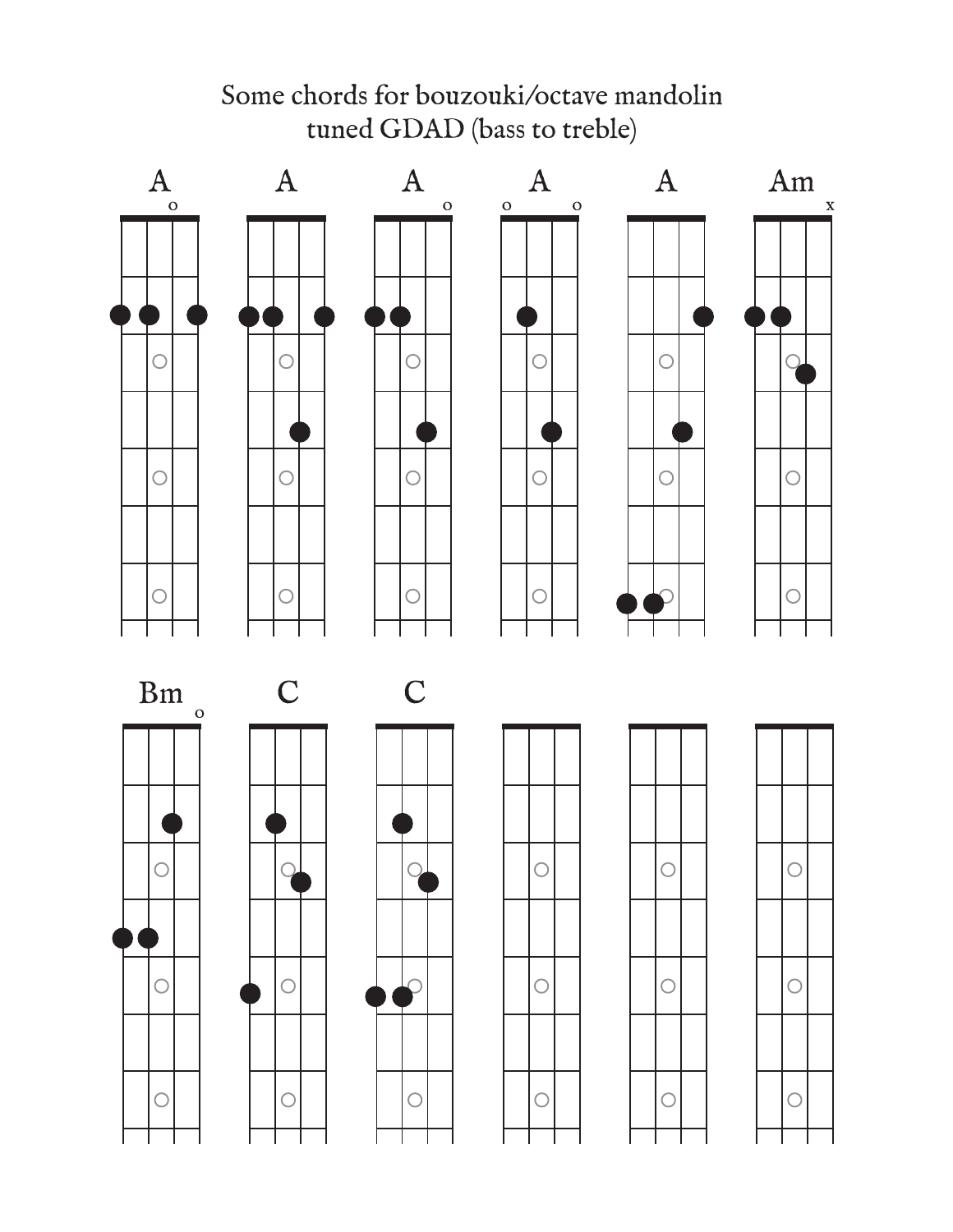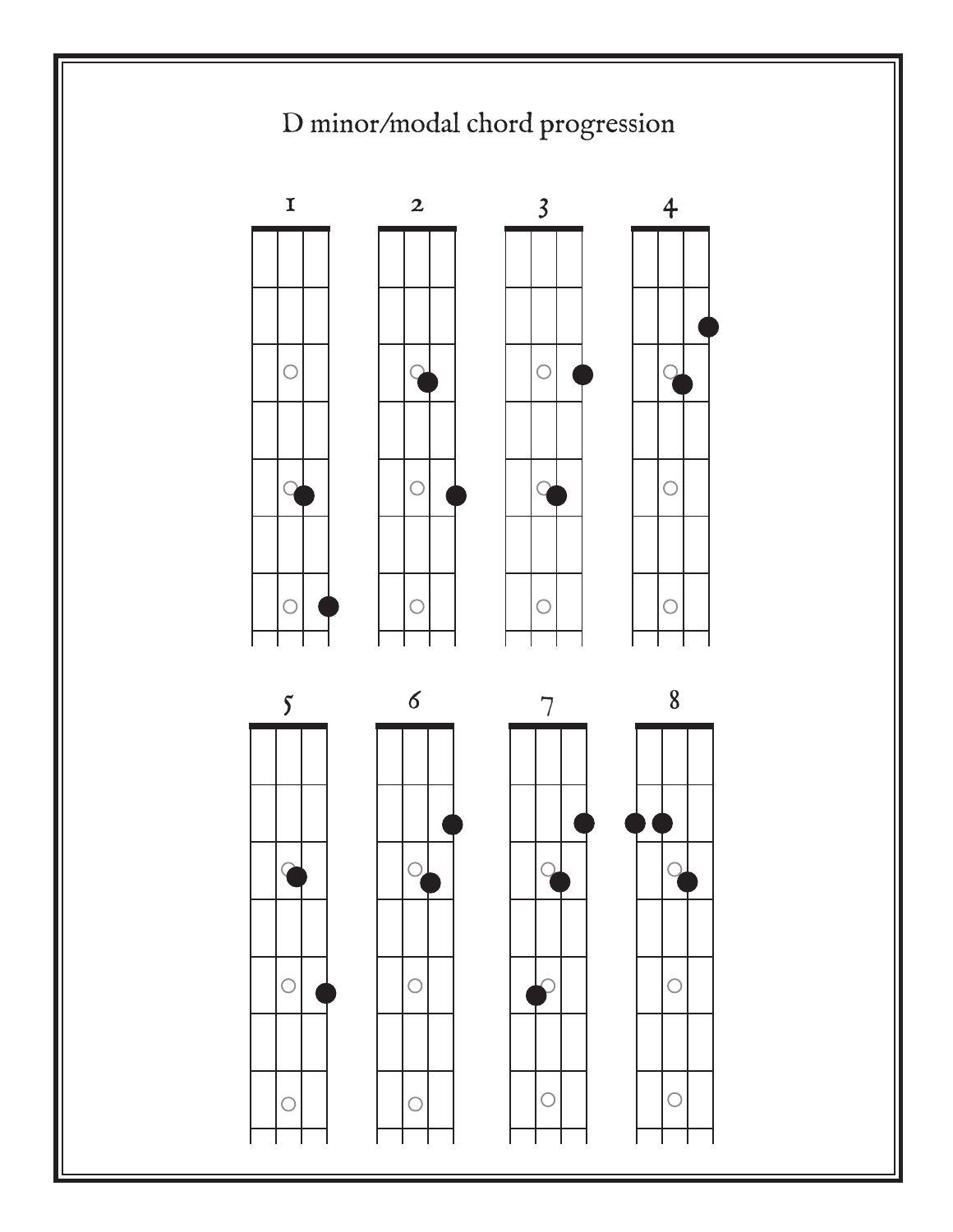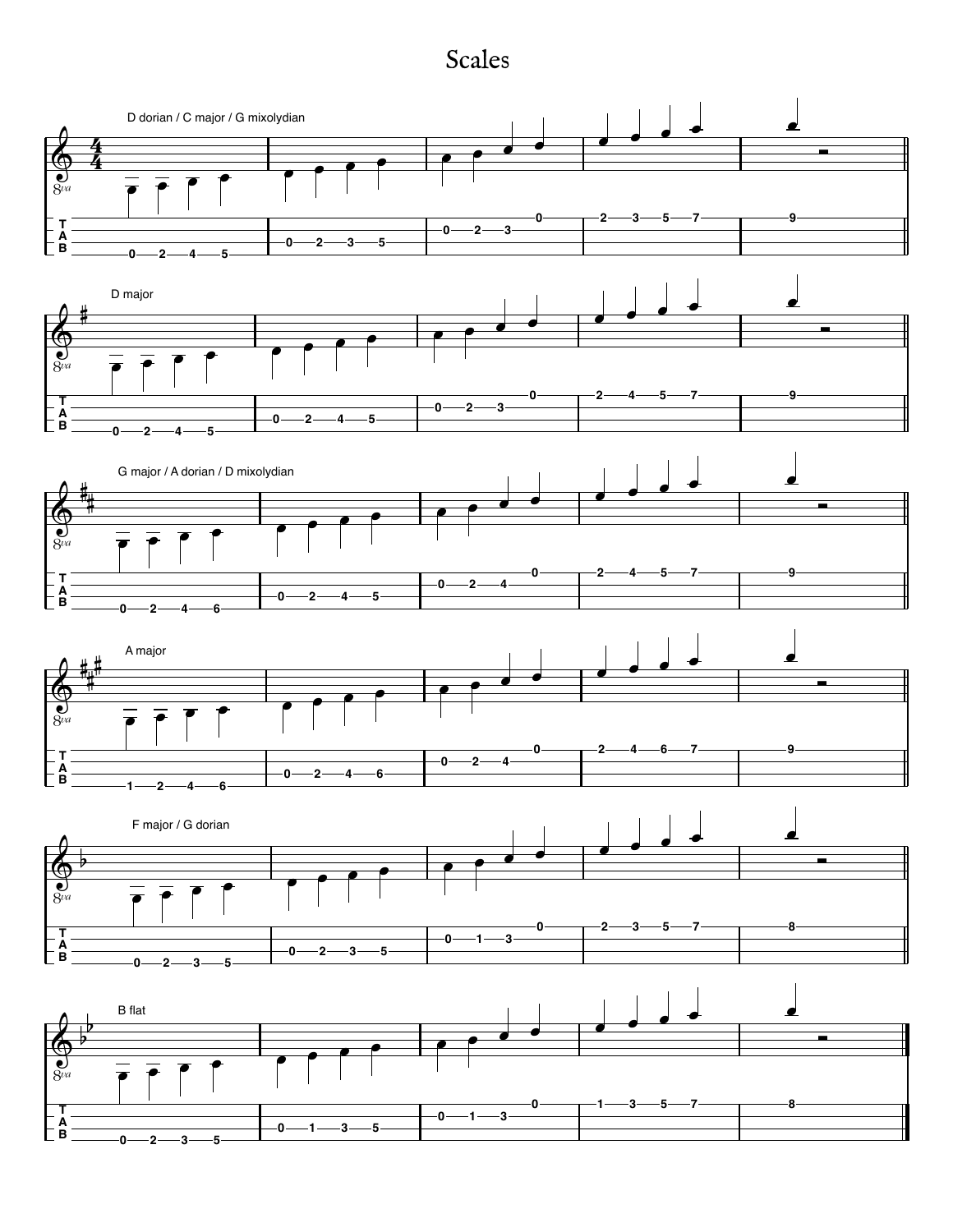## Scales

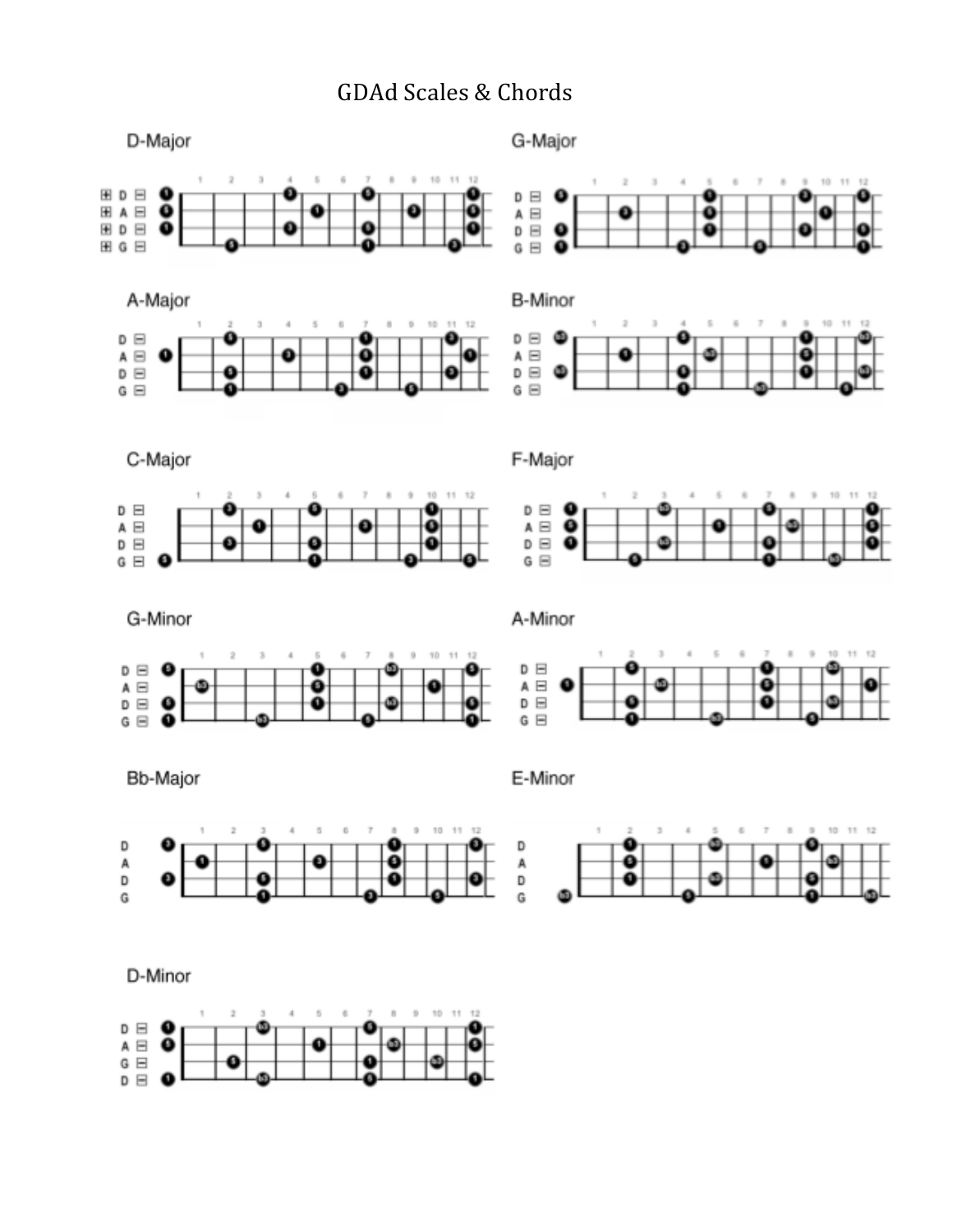## GDAd Scales & Chords

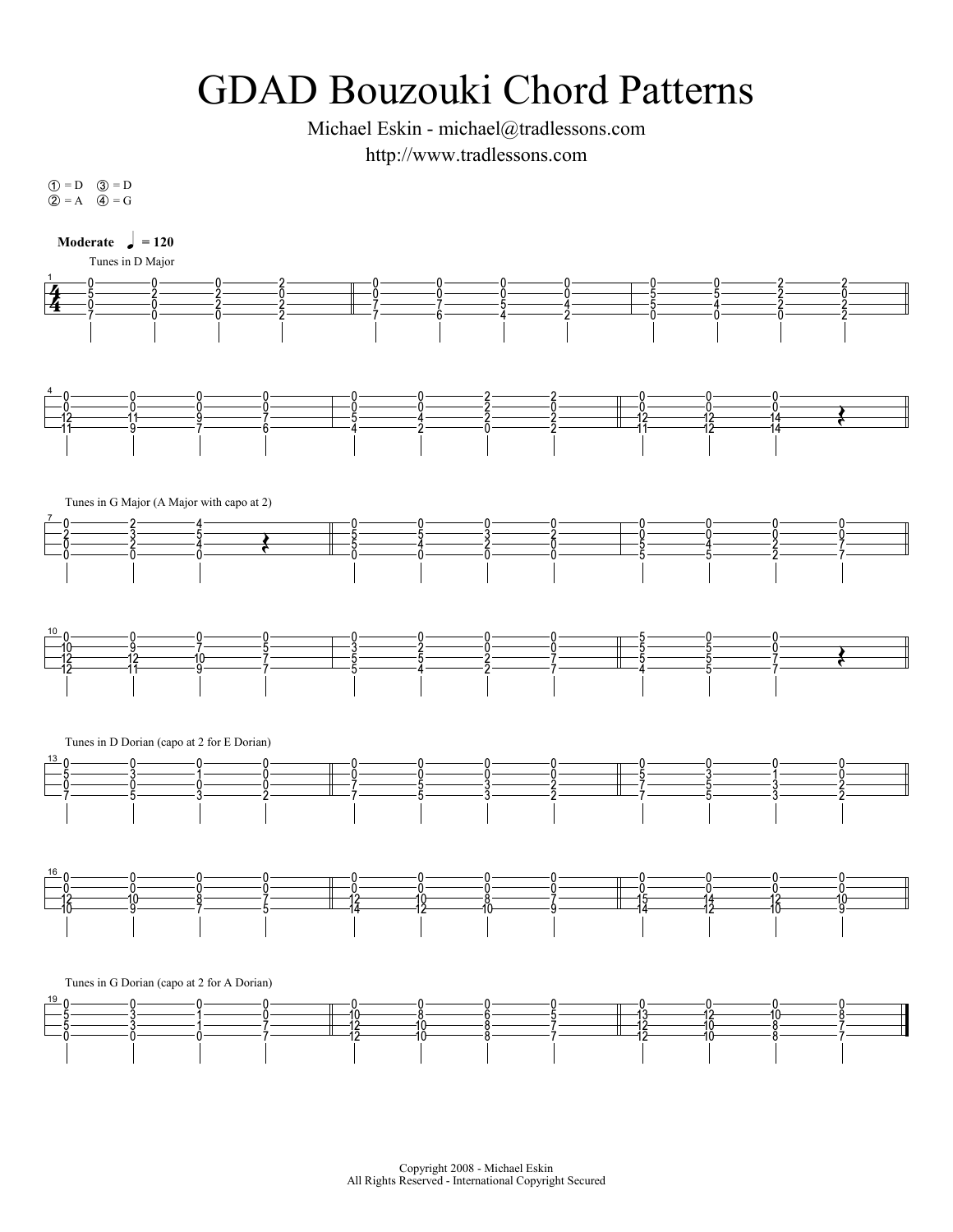## GDAD Bouzouki Chord Patterns

Michael Eskin - michael@tradlessons.com http://www.tradlessons.com

 $\begin{align} \begin{align*}\n\text{(1)} &= \text{D} \\
\text{(2)} &= \text{A}\n\end{align*}$  $\circled{1} = D$ <br> $\circled{2} = A$  $\circled{3} = D$ <br> $\circled{4} = G$  $\circled{3} = D$ <br> $\circled{4} = G$ 

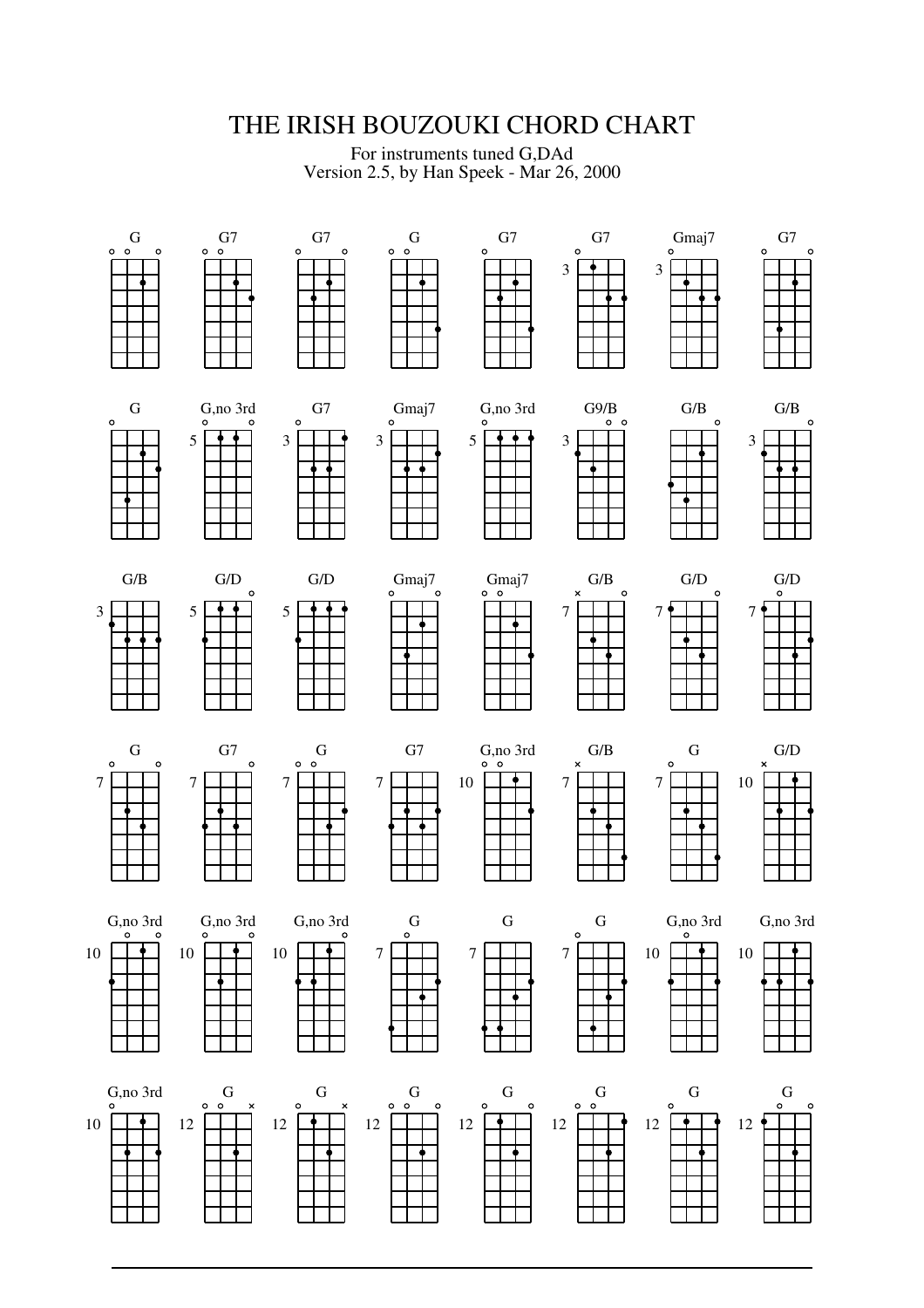## THE IRISH BOUZOUKI CHORD CHART

For instruments tuned G,DAd Version 2.5, by Han Speek - Mar 26, 2000

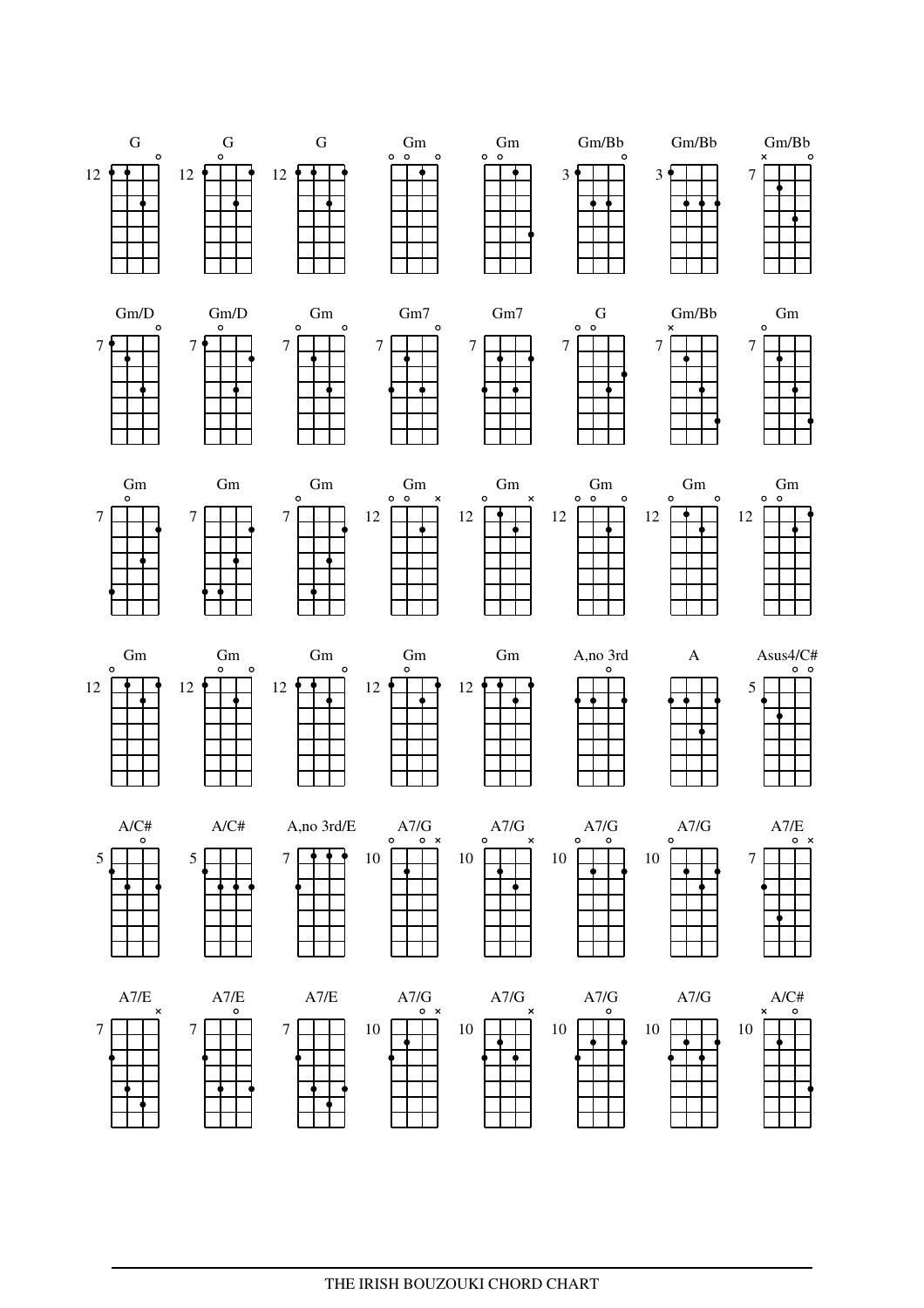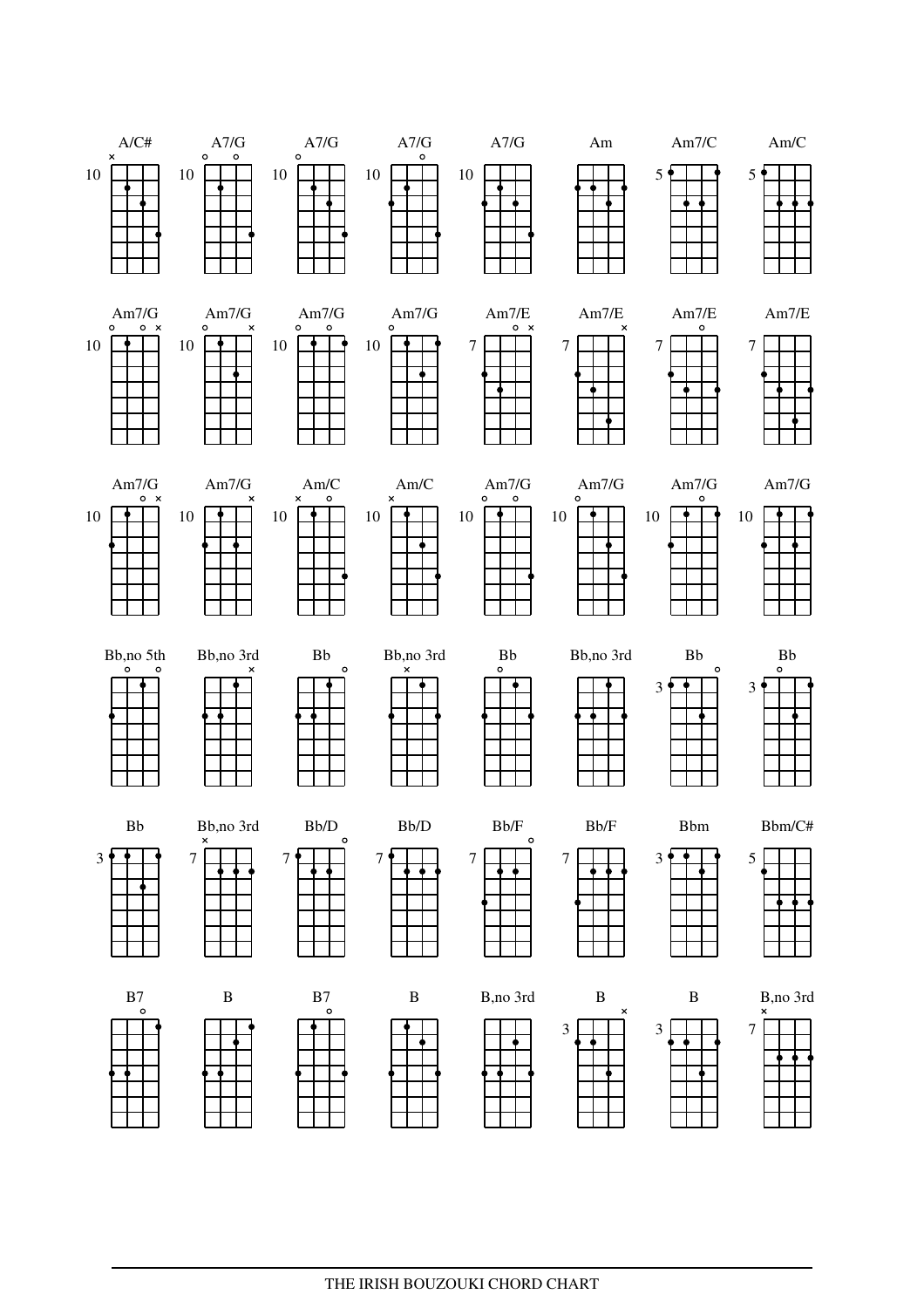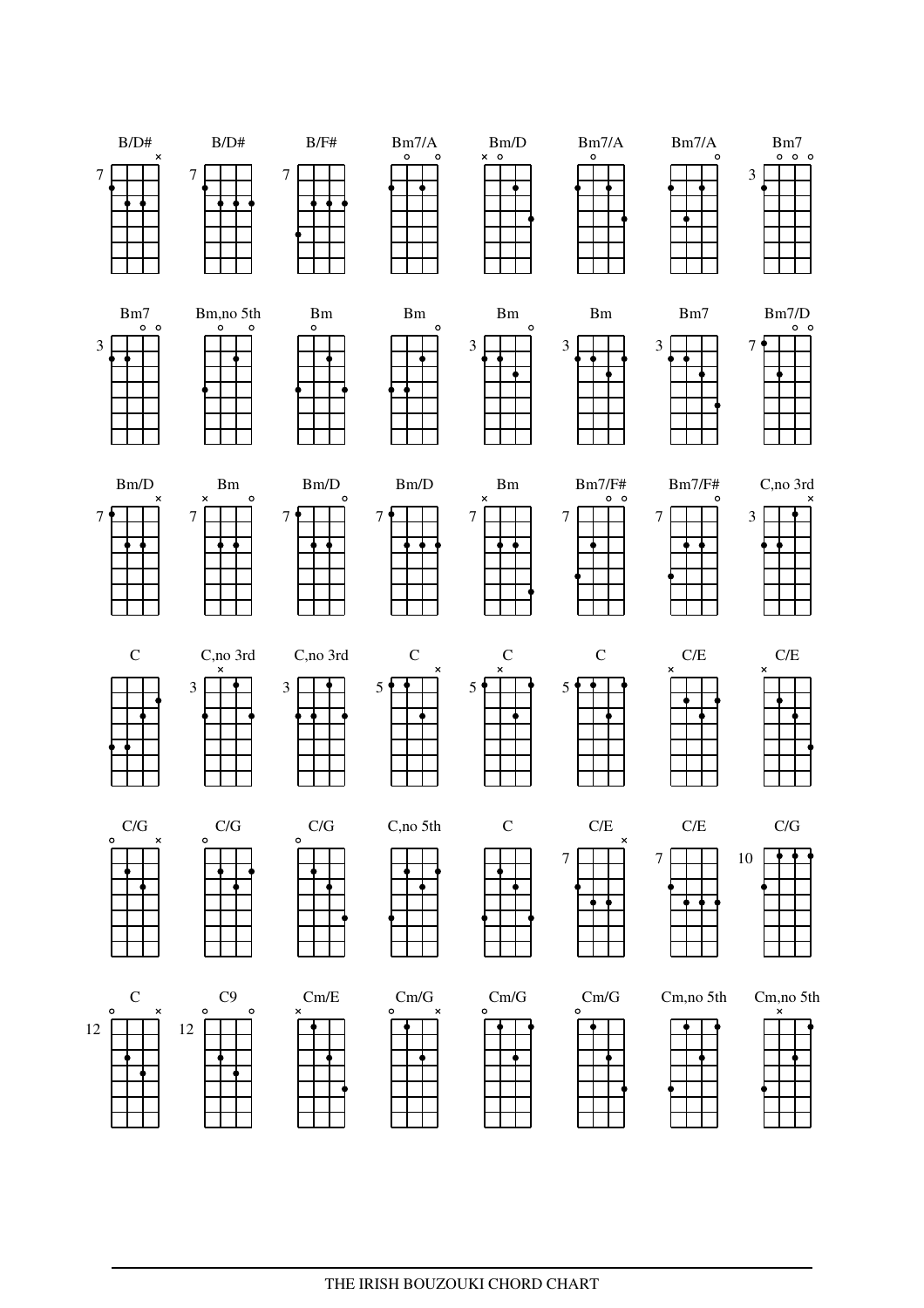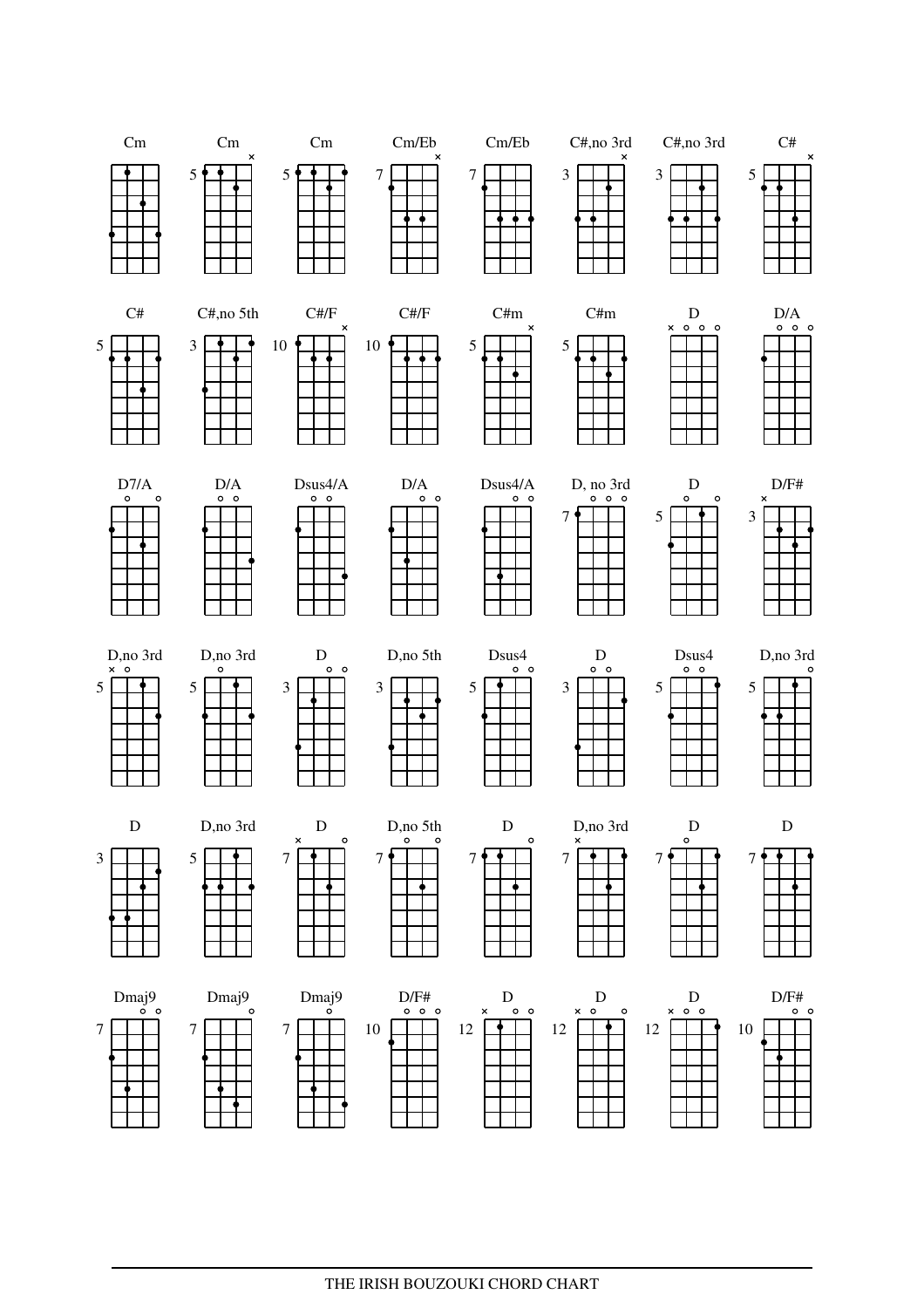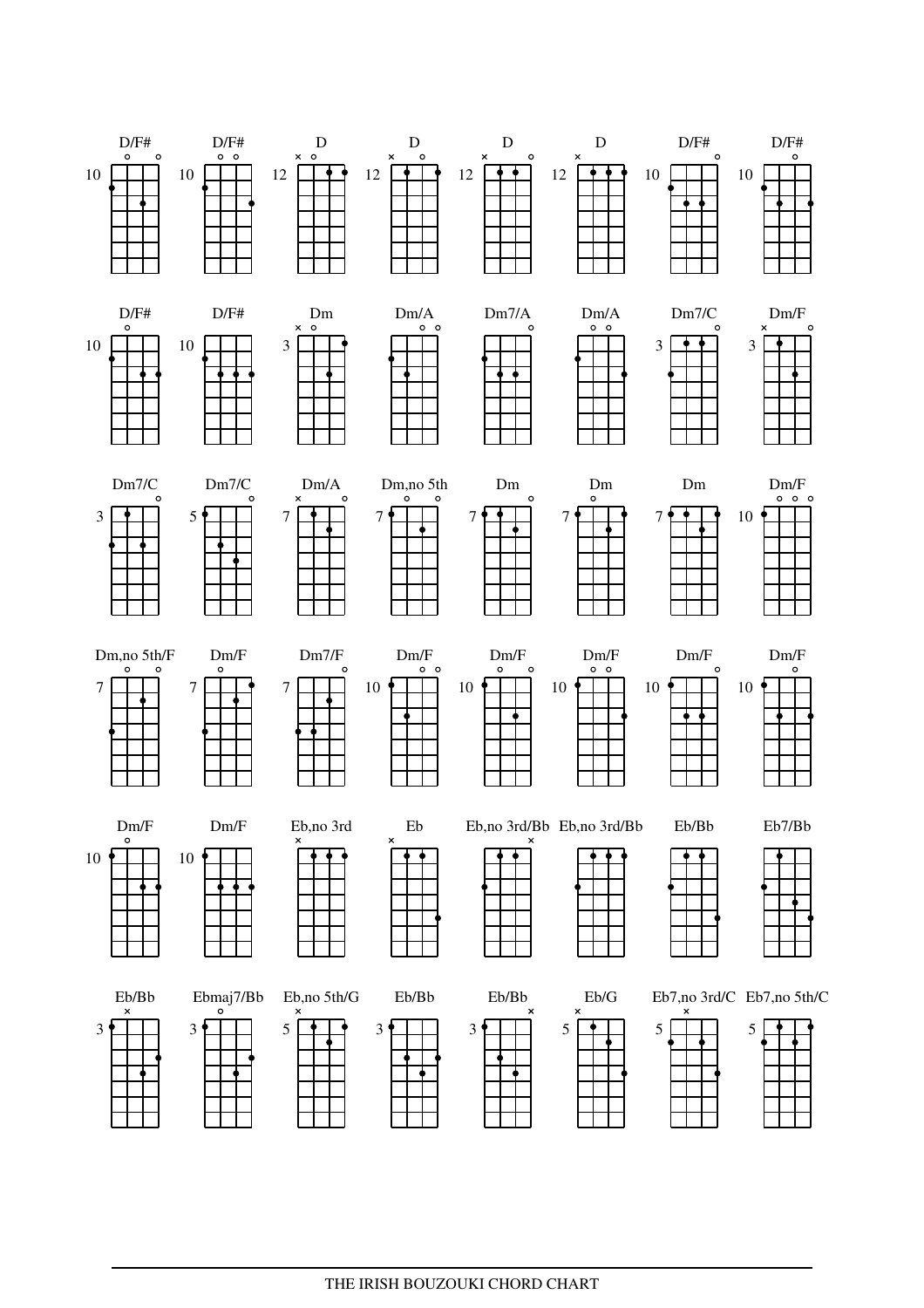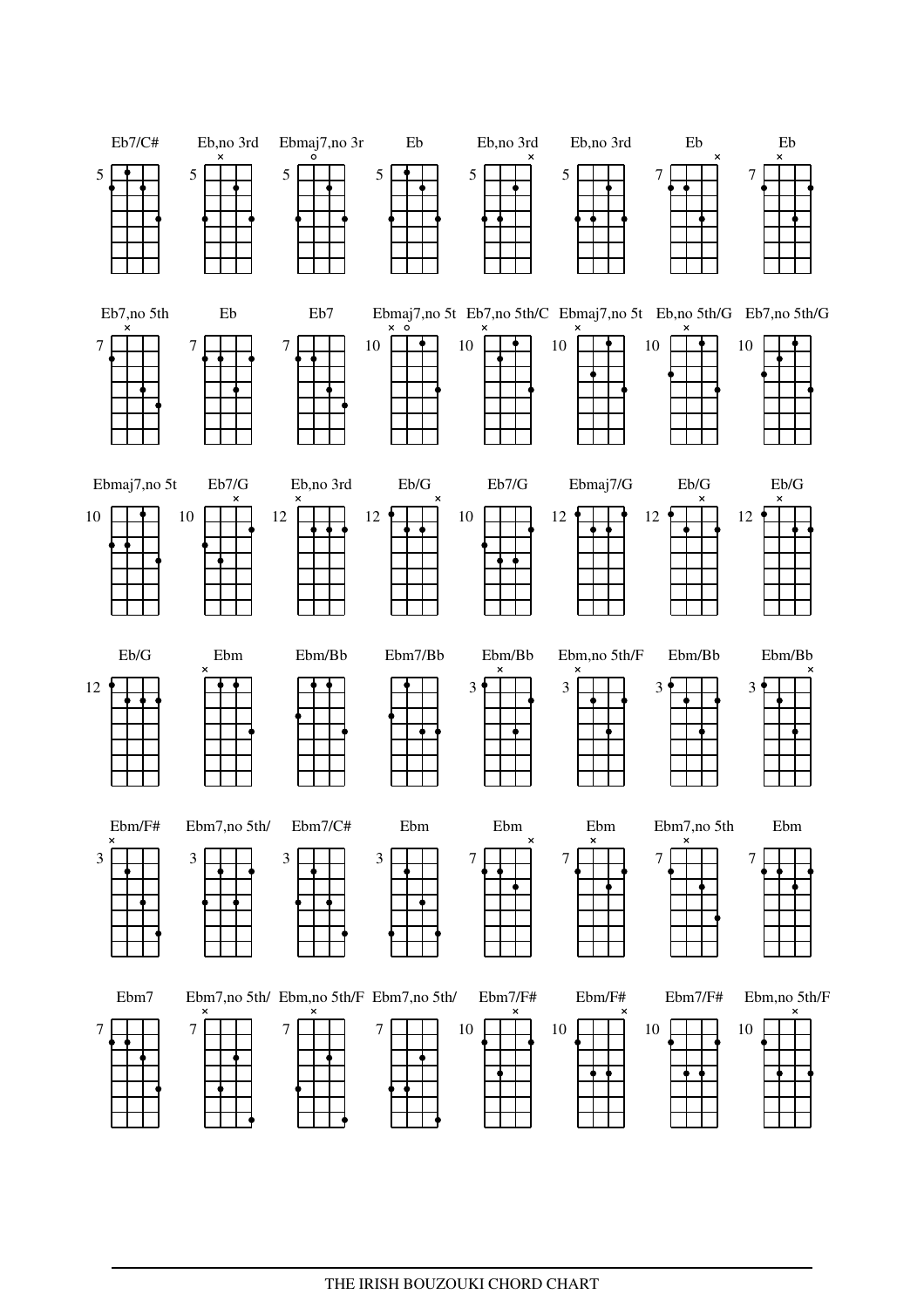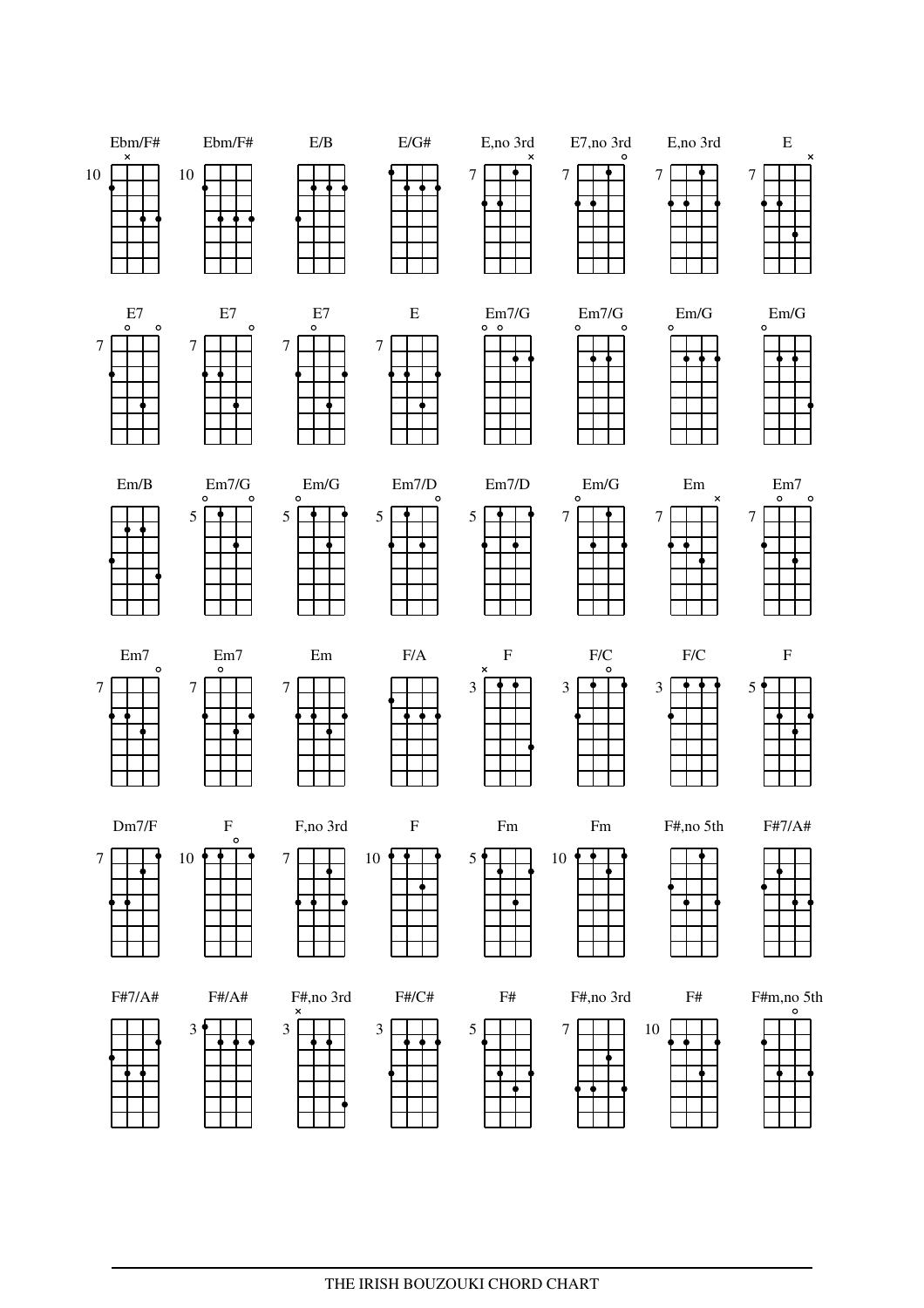